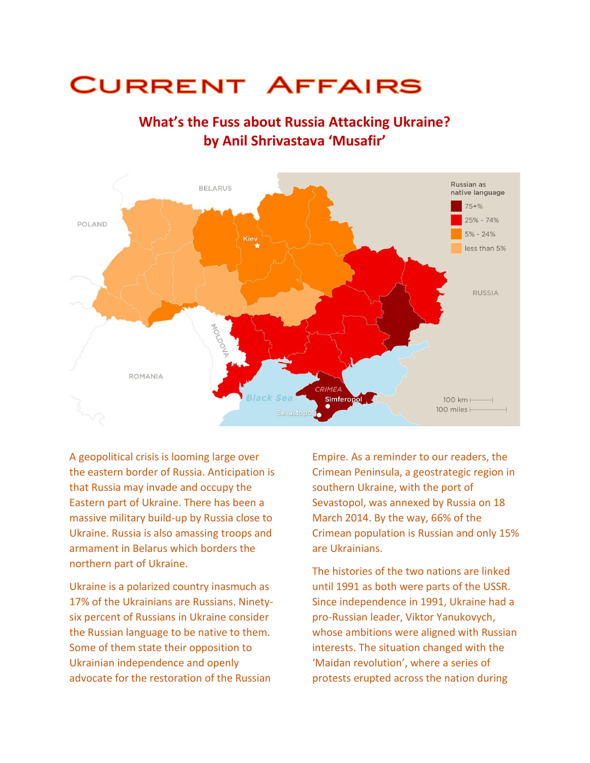## **CURRENT AFFAIRS**



## **What's the Fuss about Russia Attacking Ukraine? by Anil Shrivastava 'Musafir'**

A geopolitical crisis is looming large over the eastern border of Russia. Anticipation is that Russia may invade and occupy the Eastern part of Ukraine. There has been a massive military build-up by Russia close to Ukraine. Russia is also amassing troops and armament in Belarus which borders the northern part of Ukraine.

Ukraine is a polarized country inasmuch as 17% of the Ukrainians are Russians. Ninetysix percent of Russians in Ukraine consider the Russian language to be native to them. Some of them state their opposition to Ukrainian independence and openly advocate for the restoration of the Russian

Empire. As a reminder to our readers, the Crimean Peninsula, a geostrategic region in southern Ukraine, with the port of Sevastopol, was annexed by Russia on 18 March 2014. By the way, 66% of the Crimean population is Russian and only 15% are Ukrainians.

The histories of the two nations are linked until 1991 as both were parts of the USSR. Since independence in 1991, Ukraine had a pro-Russian leader, Viktor Yanukovych, whose ambitions were aligned with Russian interests. The situation changed with the 'Maidan revolution', where a series of protests erupted across the nation during